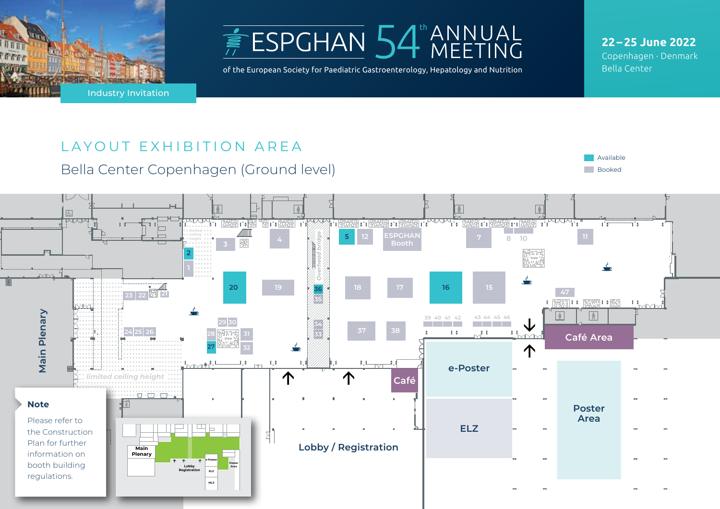



of the European Society for Paediatric Gastroenterology, Hepatology and Nutrition

**22 – 25 June 2022** Copenhagen · Denmark Bella Center

# LAYOUT EXHIBITION AREA

Bella Center Copenhagen (Ground level)



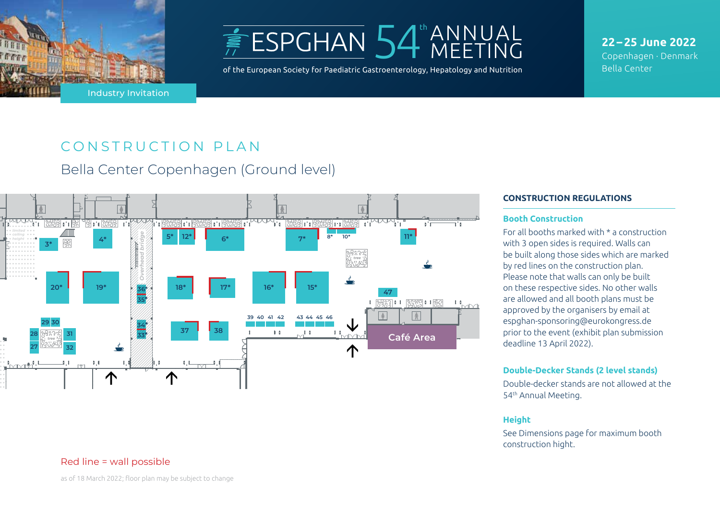



of the European Society for Paediatric Gastroenterology, Hepatology and Nutrition

**22 – 25 June 2022** Copenhagen · Denmark Bella Center

# CONSTRUCTION PLAN

Bella Center Copenhagen (Ground level)



### Red line = wall possible

as of 18 March 2022; floor plan may be subject to change

#### **CONSTRUCTION REGULATIONS**

#### **Booth Construction**

For all booths marked with \* a construction with 3 open sides is required. Walls can be built along those sides which are marked by red lines on the construction plan. Please note that walls can only be built on these respective sides. No other walls are allowed and all booth plans must be approved by the organisers by email at espghan-sponsoring@eurokongress.de prior to the event (exhibit plan submission deadline 13 April 2022).

#### **Double-Decker Stands (2 level stands)**

Double-decker stands are not allowed at the 54th Annual Meeting.

### **Height**

See Dimensions page for maximum booth construction hight.